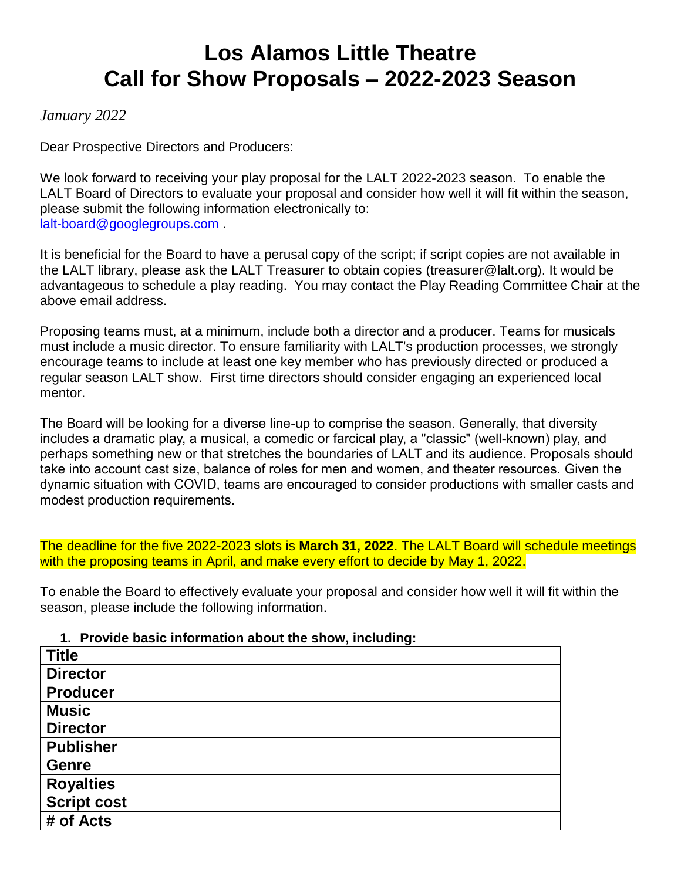# **Los Alamos Little Theatre Call for Show Proposals – 2022-2023 Season**

## *January 2022*

Dear Prospective Directors and Producers:

We look forward to receiving your play proposal for the LALT 2022-2023 season. To enable the LALT Board of Directors to evaluate your proposal and consider how well it will fit within the season, please submit the following information electronically to: lalt-board@googlegroups.com .

It is beneficial for the Board to have a perusal copy of the script; if script copies are not available in the LALT library, please ask the LALT Treasurer to obtain copies (treasurer@lalt.org). It would be advantageous to schedule a play reading. You may contact the Play Reading Committee Chair at the above email address.

Proposing teams must, at a minimum, include both a director and a producer. Teams for musicals must include a music director. To ensure familiarity with LALT's production processes, we strongly encourage teams to include at least one key member who has previously directed or produced a regular season LALT show. First time directors should consider engaging an experienced local mentor.

The Board will be looking for a diverse line-up to comprise the season. Generally, that diversity includes a dramatic play, a musical, a comedic or farcical play, a "classic" (well-known) play, and perhaps something new or that stretches the boundaries of LALT and its audience. Proposals should take into account cast size, balance of roles for men and women, and theater resources. Given the dynamic situation with COVID, teams are encouraged to consider productions with smaller casts and modest production requirements.

The deadline for the five 2022-2023 slots is **March 31, 2022**. The LALT Board will schedule meetings with the proposing teams in April, and make every effort to decide by May 1, 2022.

To enable the Board to effectively evaluate your proposal and consider how well it will fit within the season, please include the following information.

#### **1. Provide basic information about the show, including:**